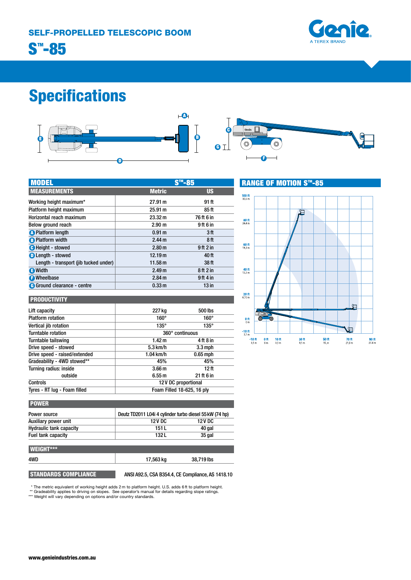

# Specifications





| <b>MODEL</b>                          |                   |                  |  |
|---------------------------------------|-------------------|------------------|--|
| <b>MEASUREMENTS</b>                   | <b>Metric</b>     | <b>US</b>        |  |
| Working height maximum*               | 27.91 m           | 91 ft            |  |
| Platform height maximum               | 25.91 m           | 85 ft            |  |
| Horizontal reach maximum              | 23.32 m           | 76 ft 6 in       |  |
| Below ground reach                    | 2.90 <sub>m</sub> | 9ft 6 in         |  |
| <b>O</b> Platform length              | 0.91 <sub>m</sub> | 3 ft             |  |
| <b>B</b> Platform width               | 2.44 <sub>m</sub> | 8 ft             |  |
| <b>O</b> Height - stowed              | 2.80 m            | $9$ ft $2$ in    |  |
| <b>D</b> Length - stowed              | 12.19 m           | 40 ft            |  |
| Length - transport (jib tucked under) | 11.58 m           | 38 ft            |  |
| <b>a</b> Width                        | 2.49 <sub>m</sub> | 8ft2in           |  |
| <b>O</b> Wheelbase                    | 2.84 <sub>m</sub> | 9ft 4 in         |  |
| <b>G</b> Ground clearance - centre    | 0.33 <sub>m</sub> | 13 <sub>in</sub> |  |

## **RANGE OF MOTION S™-85**



# **PRODUCTIVITY**

| Lift capacity                 | 227 kg                     | 500 lbs     |
|-------------------------------|----------------------------|-------------|
| <b>Platform rotation</b>      | $160^\circ$                | $160^\circ$ |
| Vertical jib rotation         | $135^\circ$                | $135^\circ$ |
| Turntable rotation            | 360° continuous            |             |
| Turntable tailswing           | 1.42 m                     | 4 ft 8 in   |
| Drive speed - stowed          | $5.3$ km/h                 | $3.3$ mph   |
| Drive speed - raised/extended | $1.04$ km/h                | $0.65$ mph  |
| Gradeability - 4WD stowed**   | 45%                        | 45%         |
| Turning radius: inside        | 3.66 <sub>m</sub>          | 12 ft       |
| outside                       | 6.55m                      | 21 ft 6 in  |
| <b>Controls</b>               | 12V DC proportional        |             |
| Tyres - RT lug - Foam filled  | Foam Filled 18-625, 16 ply |             |

| <b>POWER</b>                   |         |                                                         |  |
|--------------------------------|---------|---------------------------------------------------------|--|
| Power source                   |         | Deutz TD2011 L04i 4 cylinder turbo diesel 55 kW (74 hp) |  |
| Auxiliary power unit           | 12 V DC | 12 V DC                                                 |  |
| <b>Hydraulic tank capacity</b> | 151 L   | 40 gal                                                  |  |
| Fuel tank capacity             | 132 L   | 35 gal                                                  |  |

| <b>WEIGHT***</b> |           |            |
|------------------|-----------|------------|
| 4WD              | 17,563 kg | 38,719 lbs |
|                  |           |            |

STANDARDS COMPLIANCE ANSI A92.5, CSA B354.4, CE Compliance, AS 1418.10

\* The metric equivalent of working height adds 2 m to platform height. U.S. adds 6ft to platform height.<br>\*\* Gradeability applies to driving on slopes. See operator's manual for details regarding slope ratings.<br>\*\*\* Weight w